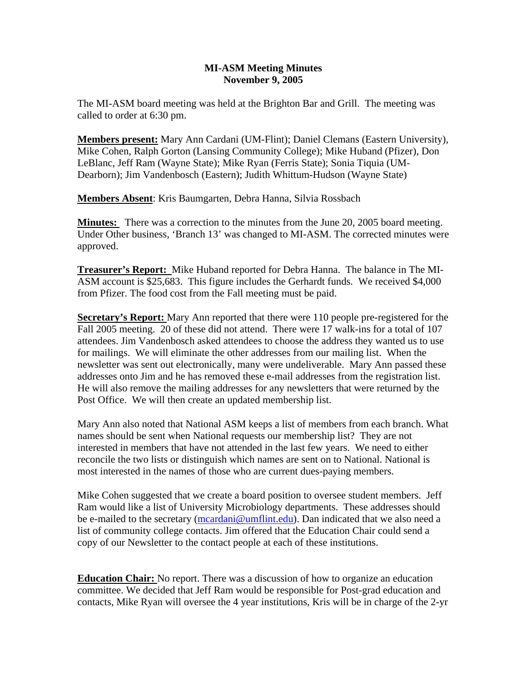## **MI-ASM Meeting Minutes November 9, 2005**

The MI-ASM board meeting was held at the Brighton Bar and Grill. The meeting was called to order at 6:30 pm.

**Members present:** Mary Ann Cardani (UM-Flint); Daniel Clemans (Eastern University), Mike Cohen, Ralph Gorton (Lansing Community College); Mike Huband (Pfizer), Don LeBlanc, Jeff Ram (Wayne State); Mike Ryan (Ferris State); Sonia Tiquia (UM-Dearborn); Jim Vandenbosch (Eastern); Judith Whittum-Hudson (Wayne State)

**Members Absent**: Kris Baumgarten, Debra Hanna, Silvia Rossbach

**Minutes:** There was a correction to the minutes from the June 20, 2005 board meeting. Under Other business, 'Branch 13' was changed to MI-ASM. The corrected minutes were approved.

**Treasurer's Report:** Mike Huband reported for Debra Hanna. The balance in The MI-ASM account is \$25,683. This figure includes the Gerhardt funds. We received \$4,000 from Pfizer. The food cost from the Fall meeting must be paid.

**Secretary's Report:** Mary Ann reported that there were 110 people pre-registered for the Fall 2005 meeting. 20 of these did not attend. There were 17 walk-ins for a total of 107 attendees. Jim Vandenbosch asked attendees to choose the address they wanted us to use for mailings. We will eliminate the other addresses from our mailing list. When the newsletter was sent out electronically, many were undeliverable. Mary Ann passed these addresses onto Jim and he has removed these e-mail addresses from the registration list. He will also remove the mailing addresses for any newsletters that were returned by the Post Office. We will then create an updated membership list.

Mary Ann also noted that National ASM keeps a list of members from each branch. What names should be sent when National requests our membership list? They are not interested in members that have not attended in the last few years. We need to either reconcile the two lists or distinguish which names are sent on to National. National is most interested in the names of those who are current dues-paying members.

Mike Cohen suggested that we create a board position to oversee student members. Jeff Ram would like a list of University Microbiology departments. These addresses should be e-mailed to the secretary (mcardani@umflint.edu). Dan indicated that we also need a list of community college contacts. Jim offered that the Education Chair could send a copy of our Newsletter to the contact people at each of these institutions.

**Education Chair:** No report. There was a discussion of how to organize an education committee. We decided that Jeff Ram would be responsible for Post-grad education and contacts, Mike Ryan will oversee the 4 year institutions, Kris will be in charge of the 2-yr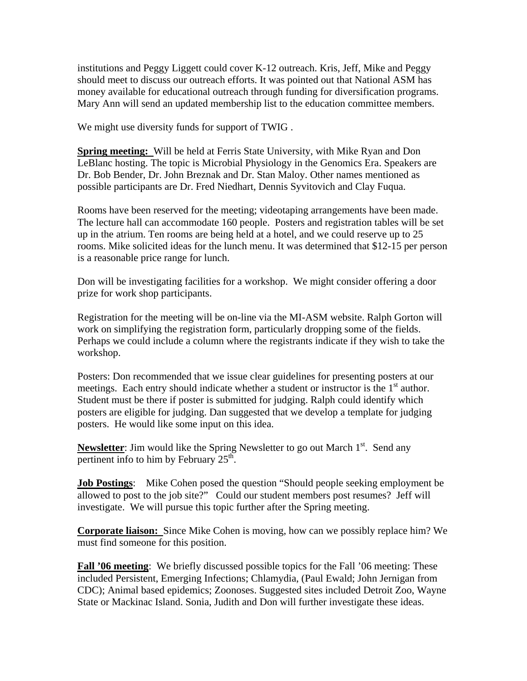institutions and Peggy Liggett could cover K-12 outreach. Kris, Jeff, Mike and Peggy should meet to discuss our outreach efforts. It was pointed out that National ASM has money available for educational outreach through funding for diversification programs. Mary Ann will send an updated membership list to the education committee members.

We might use diversity funds for support of TWIG .

**Spring meeting:** Will be held at Ferris State University, with Mike Ryan and Don LeBlanc hosting. The topic is Microbial Physiology in the Genomics Era. Speakers are Dr. Bob Bender, Dr. John Breznak and Dr. Stan Maloy. Other names mentioned as possible participants are Dr. Fred Niedhart, Dennis Syvitovich and Clay Fuqua.

Rooms have been reserved for the meeting; videotaping arrangements have been made. The lecture hall can accommodate 160 people. Posters and registration tables will be set up in the atrium. Ten rooms are being held at a hotel, and we could reserve up to 25 rooms. Mike solicited ideas for the lunch menu. It was determined that \$12-15 per person is a reasonable price range for lunch.

Don will be investigating facilities for a workshop. We might consider offering a door prize for work shop participants.

Registration for the meeting will be on-line via the MI-ASM website. Ralph Gorton will work on simplifying the registration form, particularly dropping some of the fields. Perhaps we could include a column where the registrants indicate if they wish to take the workshop.

Posters: Don recommended that we issue clear guidelines for presenting posters at our meetings. Each entry should indicate whether a student or instructor is the  $1<sup>st</sup>$  author. Student must be there if poster is submitted for judging. Ralph could identify which posters are eligible for judging. Dan suggested that we develop a template for judging posters. He would like some input on this idea.

**Newsletter**: Jim would like the Spring Newsletter to go out March 1<sup>st</sup>. Send any pertinent info to him by February  $25<sup>th</sup>$ .

**Job Postings:** Mike Cohen posed the question "Should people seeking employment be allowed to post to the job site?" Could our student members post resumes? Jeff will investigate. We will pursue this topic further after the Spring meeting.

**Corporate liaison:** Since Mike Cohen is moving, how can we possibly replace him? We must find someone for this position.

**Fall '06 meeting**: We briefly discussed possible topics for the Fall '06 meeting: These included Persistent, Emerging Infections; Chlamydia, (Paul Ewald; John Jernigan from CDC); Animal based epidemics; Zoonoses. Suggested sites included Detroit Zoo, Wayne State or Mackinac Island. Sonia, Judith and Don will further investigate these ideas.